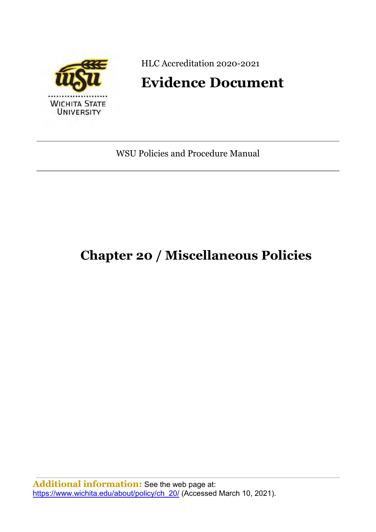

HLC Accreditation 2020-2021

# **Evidence Document**

WSU Policies and Procedure Manual

# **Chapter 20 / Miscellaneous Policies**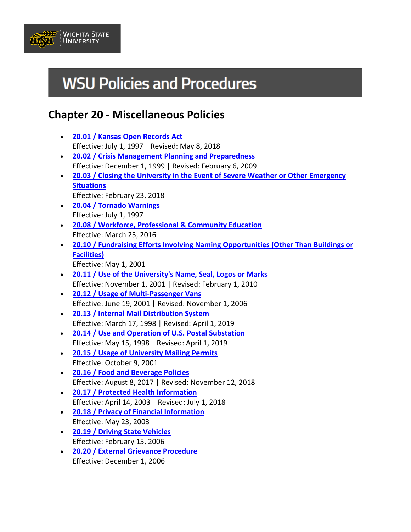

# **WSU Policies and Procedures**

# **Chapter 20 - Miscellaneous Policies**

- **[20.01 / Kansas Open Records Act](https://www.wichita.edu/about/policy/ch_20/ch20_01.php)** Effective: July 1, 1997 | Revised: May 8, 2018
- **[20.02 / Crisis Management Planning and Preparedness](https://www.wichita.edu/about/policy/ch_20/ch20_02.php)** Effective: December 1, 1999 | Revised: February 6, 2009
- **[20.03 / Closing the University in the Event of Severe Weather or Other Emergency](https://www.wichita.edu/about/policy/ch_20/ch20_03.php)  [Situations](https://www.wichita.edu/about/policy/ch_20/ch20_03.php)** Effective: February 23, 2018
- **[20.04 / Tornado Warnings](https://www.wichita.edu/about/policy/ch_20/ch20_04.php)** Effective: July 1, 1997
- **[20.08 / Workforce, Professional & Community Education](https://www.wichita.edu/about/policy/ch_20/ch20_08.php)** Effective: March 25, 2016
- **[20.10 / Fundraising Efforts Involving Naming Opportunities \(Other Than Buildings or](https://www.wichita.edu/about/policy/ch_20/ch20_10.php)  [Facilities\)](https://www.wichita.edu/about/policy/ch_20/ch20_10.php)** Effective: May 1, 2001
- **[20.11 / Use of the University's Name, Seal, Logos or Marks](https://www.wichita.edu/about/policy/ch_20/ch20_11.php)** Effective: November 1, 2001 | Revised: February 1, 2010
- **[20.12 / Usage of Multi-Passenger Vans](https://www.wichita.edu/about/policy/ch_20/ch20_12.php)** Effective: June 19, 2001 | Revised: November 1, 2006
- **[20.13 / Internal Mail Distribution System](https://www.wichita.edu/about/policy/ch_20/ch20_13.php)** Effective: March 17, 1998 | Revised: April 1, 2019
- **[20.14 / Use and Operation of U.S. Postal Substation](https://www.wichita.edu/about/policy/ch_20/ch20_14.php)** Effective: May 15, 1998 | Revised: April 1, 2019
- **[20.15 / Usage of University Mailing Permits](https://www.wichita.edu/about/policy/ch_20/ch20_15.php)** Effective: October 9, 2001
- **[20.16 / Food and Beverage Policies](https://www.wichita.edu/about/policy/ch_20/ch20_16.php)** Effective: August 8, 2017 | Revised: November 12, 2018
- **[20.17 / Protected Health Information](https://www.wichita.edu/about/policy/ch_20/ch20_17.php)** Effective: April 14, 2003 | Revised: July 1, 2018
- **[20.18 / Privacy of Financial Information](https://www.wichita.edu/about/policy/ch_20/ch20_18.php)** Effective: May 23, 2003
- **[20.19 / Driving State Vehicles](https://www.wichita.edu/about/policy/ch_20/ch20_19.php)** Effective: February 15, 2006
- **[20.20 / External Grievance Procedure](https://www.wichita.edu/about/policy/ch_20/ch20_20.php)** Effective: December 1, 2006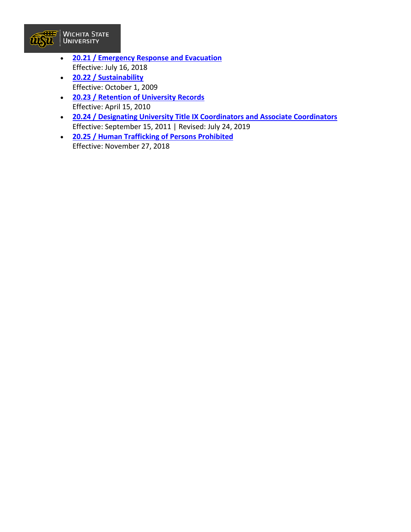

- **[20.21 / Emergency Response and Evacuation](https://www.wichita.edu/about/policy/ch_20/ch20_21.php)** Effective: July 16, 2018
- **[20.22 / Sustainability](https://www.wichita.edu/about/policy/ch_20/ch20_22.php)** Effective: October 1, 2009
- **[20.23 / Retention of University Records](https://www.wichita.edu/about/policy/ch_20/ch20_23.php)** Effective: April 15, 2010
- **[20.24 / Designating University Title IX Coordinators and Associate Coordinators](https://www.wichita.edu/about/policy/ch_20/ch20_24.php)** Effective: September 15, 2011 | Revised: July 24, 2019
- **[20.25 / Human Trafficking of Persons Prohibited](https://www.wichita.edu/about/policy/ch_20/ch20_25.php)** Effective: November 27, 2018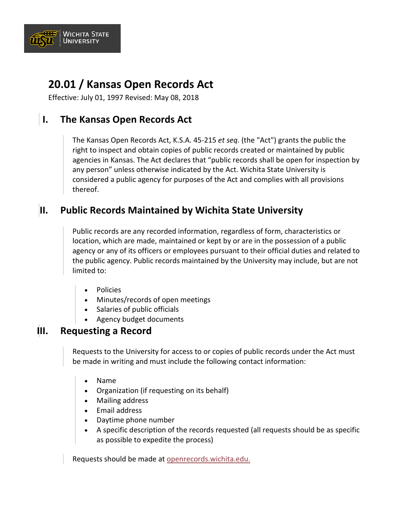

# **20.01 / Kansas Open Records Act**

Effective: July 01, 1997 Revised: May 08, 2018

## **I. The Kansas Open Records Act**

The Kansas Open Records Act, K.S.A. 45-215 *et seq*. (the "Act") grants the public the right to inspect and obtain copies of public records created or maintained by public agencies in Kansas. The Act declares that "public records shall be open for inspection by any person" unless otherwise indicated by the Act. Wichita State University is considered a public agency for purposes of the Act and complies with all provisions thereof.

#### **II. Public Records Maintained by Wichita State University**

Public records are any recorded information, regardless of form, characteristics or location, which are made, maintained or kept by or are in the possession of a public agency or any of its officers or employees pursuant to their official duties and related to the public agency. Public records maintained by the University may include, but are not limited to:

- Policies
- Minutes/records of open meetings
- Salaries of public officials
- Agency budget documents

#### **III. Requesting a Record**

Requests to the University for access to or copies of public records under the Act must be made in writing and must include the following contact information:

- Name
- Organization (if requesting on its behalf)
- Mailing address
- Email address
- Daytime phone number
- A specific description of the records requested (all requests should be as specific as possible to expedite the process)

Requests should be made at [openrecords.wichita.edu.](https://openrecords.wichita.edu/)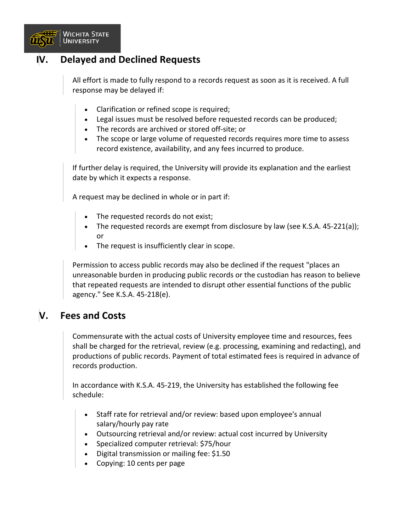

#### **IV. Delayed and Declined Requests**

All effort is made to fully respond to a records request as soon as it is received. A full response may be delayed if:

- Clarification or refined scope is required;
- Legal issues must be resolved before requested records can be produced;
- The records are archived or stored off-site; or
- The scope or large volume of requested records requires more time to assess record existence, availability, and any fees incurred to produce.

If further delay is required, the University will provide its explanation and the earliest date by which it expects a response.

A request may be declined in whole or in part if:

- The requested records do not exist;
- The requested records are exempt from disclosure by law (see K.S.A. 45-221(a)); or
- The request is insufficiently clear in scope.

Permission to access public records may also be declined if the request "places an unreasonable burden in producing public records or the custodian has reason to believe that repeated requests are intended to disrupt other essential functions of the public agency." See K.S.A. 45-218(e).

#### **V. Fees and Costs**

Commensurate with the actual costs of University employee time and resources, fees shall be charged for the retrieval, review (e.g. processing, examining and redacting), and productions of public records. Payment of total estimated fees is required in advance of records production.

In accordance with K.S.A. 45-219, the University has established the following fee schedule:

- Staff rate for retrieval and/or review: based upon employee's annual salary/hourly pay rate
- Outsourcing retrieval and/or review: actual cost incurred by University
- Specialized computer retrieval: \$75/hour
- Digital transmission or mailing fee: \$1.50
- Copying: 10 cents per page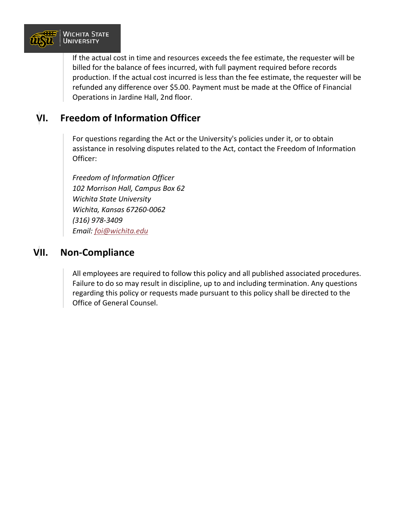

If the actual cost in time and resources exceeds the fee estimate, the requester will be billed for the balance of fees incurred, with full payment required before records production. If the actual cost incurred is less than the fee estimate, the requester will be refunded any difference over \$5.00. Payment must be made at the Office of Financial Operations in Jardine Hall, 2nd floor.

#### **VI. Freedom of Information Officer**

For questions regarding the Act or the University's policies under it, or to obtain assistance in resolving disputes related to the Act, contact the Freedom of Information Officer:

*Freedom of Information Officer 102 Morrison Hall, Campus Box 62 Wichita State University Wichita, Kansas 67260-0062 (316) 978-3409 Email: [foi@wichita.edu](mailto:foi@wichita.edu)*

#### **VII. Non-Compliance**

All employees are required to follow this policy and all published associated procedures. Failure to do so may result in discipline, up to and including termination. Any questions regarding this policy or requests made pursuant to this policy shall be directed to the Office of General Counsel.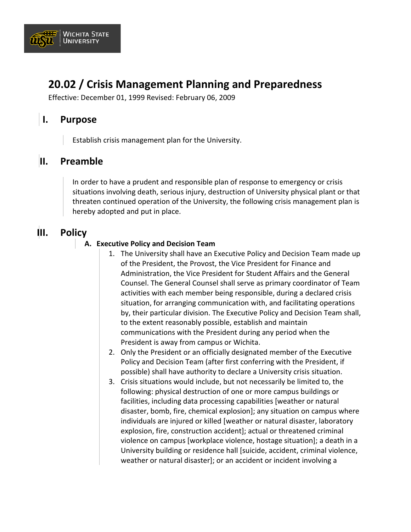

# **20.02 / Crisis Management Planning and Preparedness**

Effective: December 01, 1999 Revised: February 06, 2009

#### **I. Purpose**

Establish crisis management plan for the University.

#### **II. Preamble**

In order to have a prudent and responsible plan of response to emergency or crisis situations involving death, serious injury, destruction of University physical plant or that threaten continued operation of the University, the following crisis management plan is hereby adopted and put in place.

#### **III. Policy**

#### **A. Executive Policy and Decision Team**

- 1. The University shall have an Executive Policy and Decision Team made up of the President, the Provost, the Vice President for Finance and Administration, the Vice President for Student Affairs and the General Counsel. The General Counsel shall serve as primary coordinator of Team activities with each member being responsible, during a declared crisis situation, for arranging communication with, and facilitating operations by, their particular division. The Executive Policy and Decision Team shall, to the extent reasonably possible, establish and maintain communications with the President during any period when the President is away from campus or Wichita.
- 2. Only the President or an officially designated member of the Executive Policy and Decision Team (after first conferring with the President, if possible) shall have authority to declare a University crisis situation.
- 3. Crisis situations would include, but not necessarily be limited to, the following: physical destruction of one or more campus buildings or facilities, including data processing capabilities [weather or natural disaster, bomb, fire, chemical explosion]; any situation on campus where individuals are injured or killed [weather or natural disaster, laboratory explosion, fire, construction accident]; actual or threatened criminal violence on campus [workplace violence, hostage situation]; a death in a University building or residence hall [suicide, accident, criminal violence, weather or natural disaster]; or an accident or incident involving a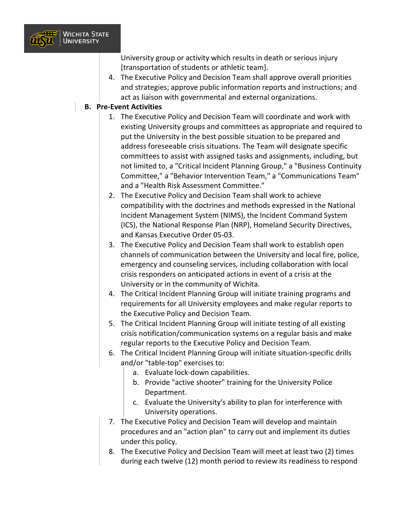

University group or activity which results in death or serious injury [transportation of students or athletic team].

4. The Executive Policy and Decision Team shall approve overall priorities and strategies; approve public information reports and instructions; and act as liaison with governmental and external organizations.

#### **B. Pre-Event Activities**

- 1. The Executive Policy and Decision Team will coordinate and work with existing University groups and committees as appropriate and required to put the University in the best possible situation to be prepared and address foreseeable crisis situations. The Team will designate specific committees to assist with assigned tasks and assignments, including, but not limited to, a "Critical Incident Planning Group," a "Business Continuity Committee," a "Behavior Intervention Team," a "Communications Team" and a "Health Risk Assessment Committee."
- 2. The Executive Policy and Decision Team shall work to achieve compatibility with the doctrines and methods expressed in the National Incident Management System (NIMS), the Incident Command System (ICS), the National Response Plan (NRP), Homeland Security Directives, and Kansas Executive Order 05-03.
- 3. The Executive Policy and Decision Team shall work to establish open channels of communication between the University and local fire, police, emergency and counseling services, including collaboration with local crisis responders on anticipated actions in event of a crisis at the University or in the community of Wichita.
- 4. The Critical Incident Planning Group will initiate training programs and requirements for all University employees and make regular reports to the Executive Policy and Decision Team.
- 5. The Critical Incident Planning Group will initiate testing of all existing crisis notification/communication systems on a regular basis and make regular reports to the Executive Policy and Decision Team.
- 6. The Critical Incident Planning Group will initiate situation-specific drills and/or "table-top" exercises to:
	- a. Evaluate lock-down capabilities.
	- b. Provide "active shooter" training for the University Police Department.
	- c. Evaluate the University's ability to plan for interference with University operations.
- 7. The Executive Policy and Decision Team will develop and maintain procedures and an "action plan" to carry out and implement its duties under this policy.
- 8. The Executive Policy and Decision Team will meet at least two (2) times during each twelve (12) month period to review its readiness to respond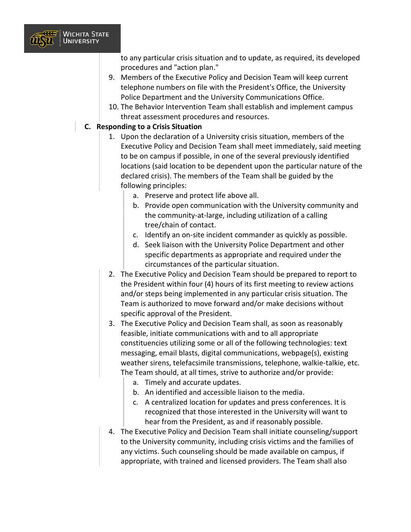

to any particular crisis situation and to update, as required, its developed procedures and "action plan."

- 9. Members of the Executive Policy and Decision Team will keep current telephone numbers on file with the President's Office, the University Police Department and the University Communications Office.
- 10. The Behavior Intervention Team shall establish and implement campus threat assessment procedures and resources.

#### **C. Responding to a Crisis Situation**

- 1. Upon the declaration of a University crisis situation, members of the Executive Policy and Decision Team shall meet immediately, said meeting to be on campus if possible, in one of the several previously identified locations (said location to be dependent upon the particular nature of the declared crisis). The members of the Team shall be guided by the following principles:
	- a. Preserve and protect life above all.
	- b. Provide open communication with the University community and the community-at-large, including utilization of a calling tree/chain of contact.
	- c. Identify an on-site incident commander as quickly as possible.
	- d. Seek liaison with the University Police Department and other specific departments as appropriate and required under the circumstances of the particular situation.
- 2. The Executive Policy and Decision Team should be prepared to report to the President within four (4) hours of its first meeting to review actions and/or steps being implemented in any particular crisis situation. The Team is authorized to move forward and/or make decisions without specific approval of the President.
- 3. The Executive Policy and Decision Team shall, as soon as reasonably feasible, initiate communications with and to all appropriate constituencies utilizing some or all of the following technologies: text messaging, email blasts, digital communications, webpage(s), existing weather sirens, telefacsimile transmissions, telephone, walkie-talkie, etc. The Team should, at all times, strive to authorize and/or provide:
	- a. Timely and accurate updates.
	- b. An identified and accessible liaison to the media.
	- c. A centralized location for updates and press conferences. It is recognized that those interested in the University will want to hear from the President, as and if reasonably possible.
- 4. The Executive Policy and Decision Team shall initiate counseling/support to the University community, including crisis victims and the families of any victims. Such counseling should be made available on campus, if appropriate, with trained and licensed providers. The Team shall also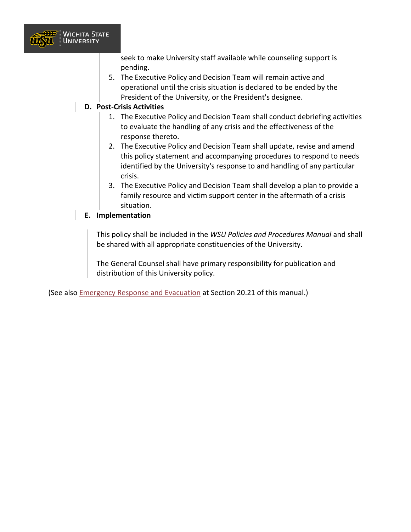

seek to make University staff available while counseling support is pending.

5. The Executive Policy and Decision Team will remain active and operational until the crisis situation is declared to be ended by the President of the University, or the President's designee.

#### **D. Post-Crisis Activities**

- 1. The Executive Policy and Decision Team shall conduct debriefing activities to evaluate the handling of any crisis and the effectiveness of the response thereto.
- 2. The Executive Policy and Decision Team shall update, revise and amend this policy statement and accompanying procedures to respond to needs identified by the University's response to and handling of any particular crisis.
- 3. The Executive Policy and Decision Team shall develop a plan to provide a family resource and victim support center in the aftermath of a crisis situation.

#### **E. Implementation**

This policy shall be included in the *WSU Policies and Procedures Manual* and shall be shared with all appropriate constituencies of the University.

The General Counsel shall have primary responsibility for publication and distribution of this University policy.

(See also [Emergency Response and Evacuation](https://www.wichita.edu/about/policy/ch_20/ch20_21.php) at Section 20.21 of this manual.)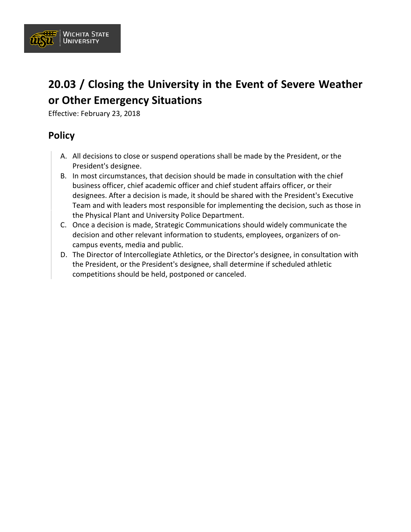

# **20.03 / Closing the University in the Event of Severe Weather or Other Emergency Situations**

Effective: February 23, 2018

#### **Policy**

- A. All decisions to close or suspend operations shall be made by the President, or the President's designee.
- B. In most circumstances, that decision should be made in consultation with the chief business officer, chief academic officer and chief student affairs officer, or their designees. After a decision is made, it should be shared with the President's Executive Team and with leaders most responsible for implementing the decision, such as those in the Physical Plant and University Police Department.
- C. Once a decision is made, Strategic Communications should widely communicate the decision and other relevant information to students, employees, organizers of oncampus events, media and public.
- D. The Director of Intercollegiate Athletics, or the Director's designee, in consultation with the President, or the President's designee, shall determine if scheduled athletic competitions should be held, postponed or canceled.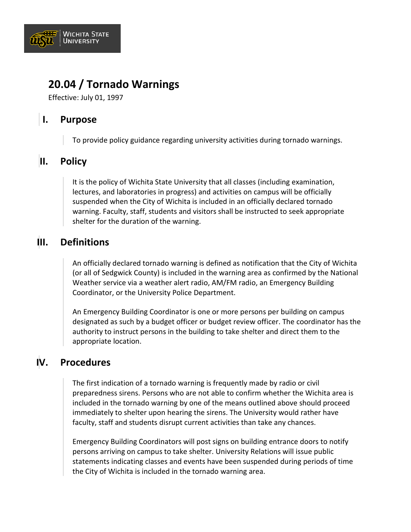

## **20.04 / Tornado Warnings**

Effective: July 01, 1997

## **I. Purpose**

To provide policy guidance regarding university activities during tornado warnings.

#### **II. Policy**

It is the policy of Wichita State University that all classes (including examination, lectures, and laboratories in progress) and activities on campus will be officially suspended when the City of Wichita is included in an officially declared tornado warning. Faculty, staff, students and visitors shall be instructed to seek appropriate shelter for the duration of the warning.

## **III. Definitions**

An officially declared tornado warning is defined as notification that the City of Wichita (or all of Sedgwick County) is included in the warning area as confirmed by the National Weather service via a weather alert radio, AM/FM radio, an Emergency Building Coordinator, or the University Police Department.

An Emergency Building Coordinator is one or more persons per building on campus designated as such by a budget officer or budget review officer. The coordinator has the authority to instruct persons in the building to take shelter and direct them to the appropriate location.

## **IV. Procedures**

The first indication of a tornado warning is frequently made by radio or civil preparedness sirens. Persons who are not able to confirm whether the Wichita area is included in the tornado warning by one of the means outlined above should proceed immediately to shelter upon hearing the sirens. The University would rather have faculty, staff and students disrupt current activities than take any chances.

Emergency Building Coordinators will post signs on building entrance doors to notify persons arriving on campus to take shelter. University Relations will issue public statements indicating classes and events have been suspended during periods of time the City of Wichita is included in the tornado warning area.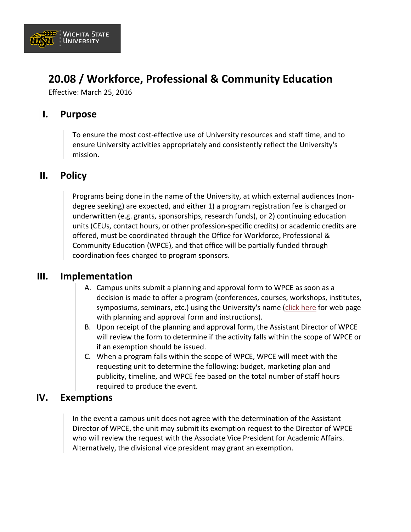

# **20.08 / Workforce, Professional & Community Education**

Effective: March 25, 2016

#### **I. Purpose**

To ensure the most cost-effective use of University resources and staff time, and to ensure University activities appropriately and consistently reflect the University's mission.

#### **II. Policy**

Programs being done in the name of the University, at which external audiences (nondegree seeking) are expected, and either 1) a program registration fee is charged or underwritten (e.g. grants, sponsorships, research funds), or 2) continuing education units (CEUs, contact hours, or other profession-specific credits) or academic credits are offered, must be coordinated through the Office for Workforce, Professional & Community Education (WPCE), and that office will be partially funded through coordination fees charged to program sponsors.

#### **III. Implementation**

- A. Campus units submit a planning and approval form to WPCE as soon as a decision is made to offer a program (conferences, courses, workshops, institutes, symposiums, seminars, etc.) using the University's name [\(click here](https://www.wichita.edu/academics/wpce/planningapproval.php) for web page with planning and approval form and instructions).
- B. Upon receipt of the planning and approval form, the Assistant Director of WPCE will review the form to determine if the activity falls within the scope of WPCE or if an exemption should be issued.
- C. When a program falls within the scope of WPCE, WPCE will meet with the requesting unit to determine the following: budget, marketing plan and publicity, timeline, and WPCE fee based on the total number of staff hours required to produce the event.

#### **IV. Exemptions**

In the event a campus unit does not agree with the determination of the Assistant Director of WPCE, the unit may submit its exemption request to the Director of WPCE who will review the request with the Associate Vice President for Academic Affairs. Alternatively, the divisional vice president may grant an exemption.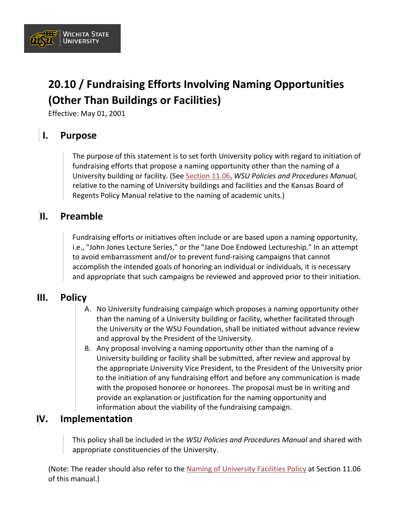

# **20.10 / Fundraising Efforts Involving Naming Opportunities (Other Than Buildings or Facilities)**

Effective: May 01, 2001

## **I. Purpose**

The purpose of this statement is to set forth University policy with regard to initiation of fundraising efforts that propose a naming opportunity other than the naming of a University building or facility. (See [Section 11.06,](https://www.wichita.edu/about/policy/ch11/ch11_06.php) *WSU Policies and Procedures Manual*, relative to the naming of University buildings and facilities and the Kansas Board of Regents Policy Manual relative to the naming of academic units.)

#### **II. Preamble**

Fundraising efforts or initiatives often include or are based upon a naming opportunity, i.e., "John Jones Lecture Series," or the "Jane Doe Endowed Lectureship." In an attempt to avoid embarrassment and/or to prevent fund-raising campaigns that cannot accomplish the intended goals of honoring an individual or individuals, it is necessary and appropriate that such campaigns be reviewed and approved prior to their initiation.

## **III. Policy**

- A. No University fundraising campaign which proposes a naming opportunity other than the naming of a University building or facility, whether facilitated through the University or the WSU Foundation, shall be initiated without advance review and approval by the President of the University.
- B. Any proposal involving a naming opportunity other than the naming of a University building or facility shall be submitted, after review and approval by the appropriate University Vice President, to the President of the University prior to the initiation of any fundraising effort and before any communication is made with the proposed honoree or honorees. The proposal must be in writing and provide an explanation or justification for the naming opportunity and information about the viability of the fundraising campaign.

#### **IV. Implementation**

This policy shall be included in the *WSU Policies and Procedures Manual* and shared with appropriate constituencies of the University.

(Note: The reader should also refer to the [Naming of University Facilities Policy](https://www.wichita.edu/about/policy/ch11/ch11_06.php) at Section 11.06 of this manual.)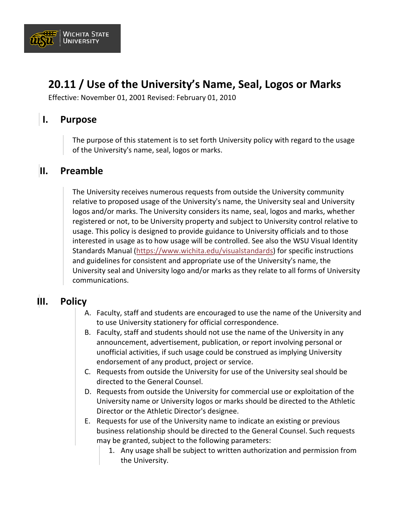

# **20.11 / Use of the University's Name, Seal, Logos or Marks**

Effective: November 01, 2001 Revised: February 01, 2010

#### **I. Purpose**

The purpose of this statement is to set forth University policy with regard to the usage of the University's name, seal, logos or marks.

#### **II. Preamble**

The University receives numerous requests from outside the University community relative to proposed usage of the University's name, the University seal and University logos and/or marks. The University considers its name, seal, logos and marks, whether registered or not, to be University property and subject to University control relative to usage. This policy is designed to provide guidance to University officials and to those interested in usage as to how usage will be controlled. See also the WSU Visual Identity Standards Manual [\(https://www.wichita.edu/visualstandards](https://www.wichita.edu/visualstandards)) for specific instructions and guidelines for consistent and appropriate use of the University's name, the University seal and University logo and/or marks as they relate to all forms of University communications.

#### **III. Policy**

- A. Faculty, staff and students are encouraged to use the name of the University and to use University stationery for official correspondence.
- B. Faculty, staff and students should not use the name of the University in any announcement, advertisement, publication, or report involving personal or unofficial activities, if such usage could be construed as implying University endorsement of any product, project or service.
- C. Requests from outside the University for use of the University seal should be directed to the General Counsel.
- D. Requests from outside the University for commercial use or exploitation of the University name or University logos or marks should be directed to the Athletic Director or the Athletic Director's designee.
- E. Requests for use of the University name to indicate an existing or previous business relationship should be directed to the General Counsel. Such requests may be granted, subject to the following parameters:
	- 1. Any usage shall be subject to written authorization and permission from the University.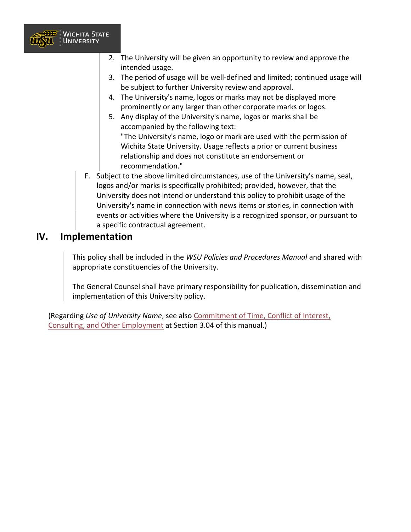

- 2. The University will be given an opportunity to review and approve the intended usage.
- 3. The period of usage will be well-defined and limited; continued usage will be subject to further University review and approval.
- 4. The University's name, logos or marks may not be displayed more prominently or any larger than other corporate marks or logos.
- 5. Any display of the University's name, logos or marks shall be accompanied by the following text:

"The University's name, logo or mark are used with the permission of Wichita State University. Usage reflects a prior or current business relationship and does not constitute an endorsement or recommendation."

F. Subject to the above limited circumstances, use of the University's name, seal, logos and/or marks is specifically prohibited; provided, however, that the University does not intend or understand this policy to prohibit usage of the University's name in connection with news items or stories, in connection with events or activities where the University is a recognized sponsor, or pursuant to a specific contractual agreement.

## **IV. Implementation**

This policy shall be included in the *WSU Policies and Procedures Manual* and shared with appropriate constituencies of the University.

The General Counsel shall have primary responsibility for publication, dissemination and implementation of this University policy.

(Regarding *Use of University Name*, see also Commitment of [Time, Conflict of Interest,](https://www.wichita.edu/about/policy/ch_03/ch3_04.php) [Consulting, and Other Employment](https://www.wichita.edu/about/policy/ch_03/ch3_04.php) at Section 3.04 of this manual.)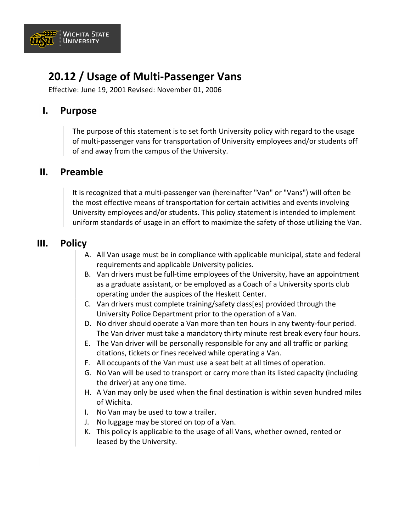

# **20.12 / Usage of Multi-Passenger Vans**

Effective: June 19, 2001 Revised: November 01, 2006

#### **I. Purpose**

The purpose of this statement is to set forth University policy with regard to the usage of multi-passenger vans for transportation of University employees and/or students off of and away from the campus of the University.

#### **II. Preamble**

It is recognized that a multi-passenger van (hereinafter "Van" or "Vans") will often be the most effective means of transportation for certain activities and events involving University employees and/or students. This policy statement is intended to implement uniform standards of usage in an effort to maximize the safety of those utilizing the Van.

## **III. Policy**

- A. All Van usage must be in compliance with applicable municipal, state and federal requirements and applicable University policies.
- B. Van drivers must be full-time employees of the University, have an appointment as a graduate assistant, or be employed as a Coach of a University sports club operating under the auspices of the Heskett Center.
- C. Van drivers must complete training/safety class[es] provided through the University Police Department prior to the operation of a Van.
- D. No driver should operate a Van more than ten hours in any twenty-four period. The Van driver must take a mandatory thirty minute rest break every four hours.
- E. The Van driver will be personally responsible for any and all traffic or parking citations, tickets or fines received while operating a Van.
- F. All occupants of the Van must use a seat belt at all times of operation.
- G. No Van will be used to transport or carry more than its listed capacity (including the driver) at any one time.
- H. A Van may only be used when the final destination is within seven hundred miles of Wichita.
- I. No Van may be used to tow a trailer.
- J. No luggage may be stored on top of a Van.
- K. This policy is applicable to the usage of all Vans, whether owned, rented or leased by the University.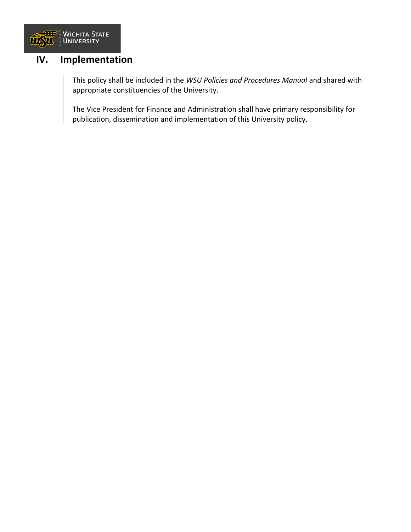

#### **IV. Implementation**

This policy shall be included in the *WSU Policies and Procedures Manual* and shared with appropriate constituencies of the University.

The Vice President for Finance and Administration shall have primary responsibility for publication, dissemination and implementation of this University policy.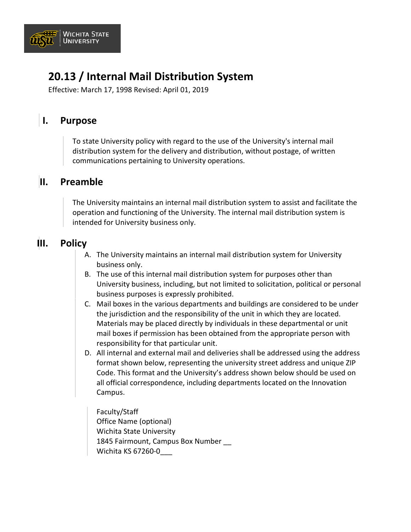

# **20.13 / Internal Mail Distribution System**

Effective: March 17, 1998 Revised: April 01, 2019

## **I. Purpose**

To state University policy with regard to the use of the University's internal mail distribution system for the delivery and distribution, without postage, of written communications pertaining to University operations.

#### **II. Preamble**

The University maintains an internal mail distribution system to assist and facilitate the operation and functioning of the University. The internal mail distribution system is intended for University business only.

#### **III. Policy**

- A. The University maintains an internal mail distribution system for University business only.
- B. The use of this internal mail distribution system for purposes other than University business, including, but not limited to solicitation, political or personal business purposes is expressly prohibited.
- C. Mail boxes in the various departments and buildings are considered to be under the jurisdiction and the responsibility of the unit in which they are located. Materials may be placed directly by individuals in these departmental or unit mail boxes if permission has been obtained from the appropriate person with responsibility for that particular unit.
- D. All internal and external mail and deliveries shall be addressed using the address format shown below, representing the university street address and unique ZIP Code. This format and the University's address shown below should be used on all official correspondence, including departments located on the Innovation Campus.

Faculty/Staff Office Name (optional) Wichita State University 1845 Fairmount, Campus Box Number Wichita KS 67260-0\_\_\_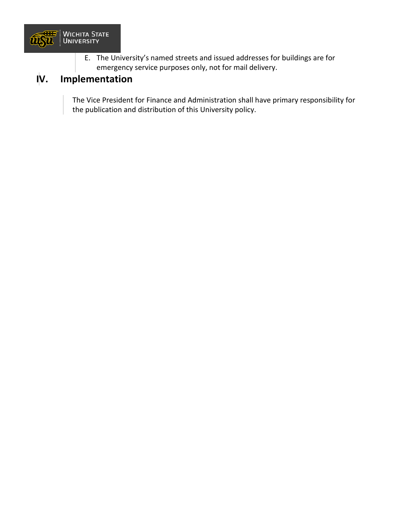

E. The University's named streets and issued addresses for buildings are for emergency service purposes only, not for mail delivery.

## **IV. Implementation**

The Vice President for Finance and Administration shall have primary responsibility for the publication and distribution of this University policy.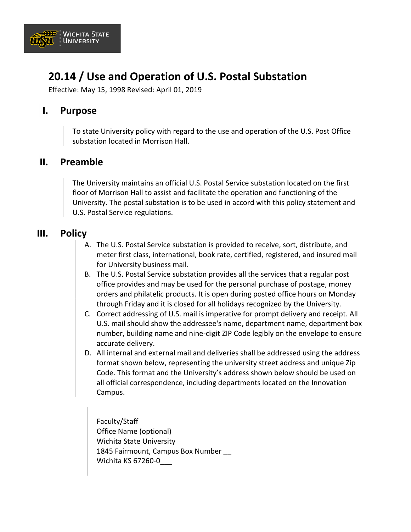

# **20.14 / Use and Operation of U.S. Postal Substation**

Effective: May 15, 1998 Revised: April 01, 2019

#### **I. Purpose**

To state University policy with regard to the use and operation of the U.S. Post Office substation located in Morrison Hall.

#### **II. Preamble**

The University maintains an official U.S. Postal Service substation located on the first floor of Morrison Hall to assist and facilitate the operation and functioning of the University. The postal substation is to be used in accord with this policy statement and U.S. Postal Service regulations.

#### **III. Policy**

- A. The U.S. Postal Service substation is provided to receive, sort, distribute, and meter first class, international, book rate, certified, registered, and insured mail for University business mail.
- B. The U.S. Postal Service substation provides all the services that a regular post office provides and may be used for the personal purchase of postage, money orders and philatelic products. It is open during posted office hours on Monday through Friday and it is closed for all holidays recognized by the University.
- C. Correct addressing of U.S. mail is imperative for prompt delivery and receipt. All U.S. mail should show the addressee's name, department name, department box number, building name and nine-digit ZIP Code legibly on the envelope to ensure accurate delivery.
- D. All internal and external mail and deliveries shall be addressed using the address format shown below, representing the university street address and unique Zip Code. This format and the University's address shown below should be used on all official correspondence, including departments located on the Innovation Campus.

Faculty/Staff Office Name (optional) Wichita State University 1845 Fairmount, Campus Box Number Wichita KS 67260-0\_\_\_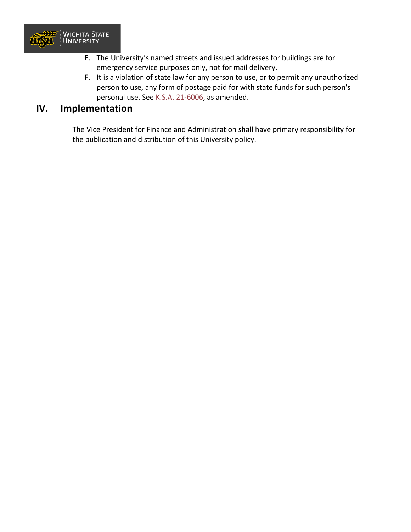

- E. The University's named streets and issued addresses for buildings are for emergency service purposes only, not for mail delivery.
- F. It is a violation of state law for any person to use, or to permit any unauthorized person to use, any form of postage paid for with state funds for such person's personal use. See [K.S.A. 21-6006,](https://www.ksrevisor.org/statutes/chapters/ch21/021_060_0006.html) as amended.

#### **IV. Implementation**

The Vice President for Finance and Administration shall have primary responsibility for the publication and distribution of this University policy.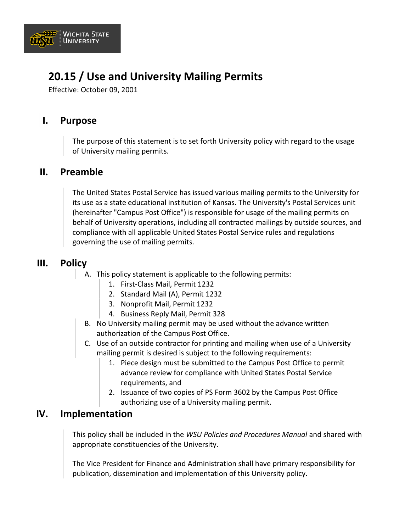

# **20.15 / Use and University Mailing Permits**

Effective: October 09, 2001

## **I. Purpose**

The purpose of this statement is to set forth University policy with regard to the usage of University mailing permits.

#### **II. Preamble**

The United States Postal Service has issued various mailing permits to the University for its use as a state educational institution of Kansas. The University's Postal Services unit (hereinafter "Campus Post Office") is responsible for usage of the mailing permits on behalf of University operations, including all contracted mailings by outside sources, and compliance with all applicable United States Postal Service rules and regulations governing the use of mailing permits.

#### **III. Policy**

- A. This policy statement is applicable to the following permits:
	- 1. First-Class Mail, Permit 1232
	- 2. Standard Mail (A), Permit 1232
	- 3. Nonprofit Mail, Permit 1232
	- 4. Business Reply Mail, Permit 328
	- B. No University mailing permit may be used without the advance written authorization of the Campus Post Office.
	- C. Use of an outside contractor for printing and mailing when use of a University mailing permit is desired is subject to the following requirements:
		- 1. Piece design must be submitted to the Campus Post Office to permit advance review for compliance with United States Postal Service requirements, and
		- 2. Issuance of two copies of PS Form 3602 by the Campus Post Office authorizing use of a University mailing permit.

#### **IV. Implementation**

This policy shall be included in the *WSU Policies and Procedures Manual* and shared with appropriate constituencies of the University.

The Vice President for Finance and Administration shall have primary responsibility for publication, dissemination and implementation of this University policy.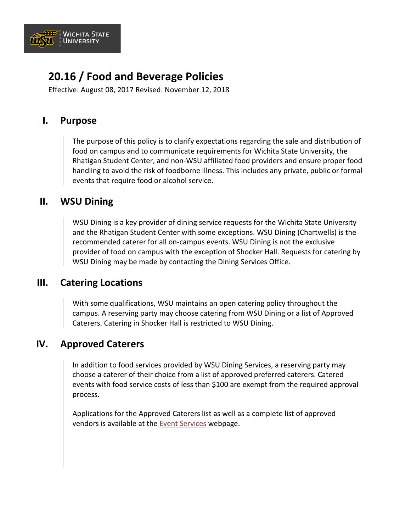

# **20.16 / Food and Beverage Policies**

Effective: August 08, 2017 Revised: November 12, 2018

## **I. Purpose**

The purpose of this policy is to clarify expectations regarding the sale and distribution of food on campus and to communicate requirements for Wichita State University, the Rhatigan Student Center, and non-WSU affiliated food providers and ensure proper food handling to avoid the risk of foodborne illness. This includes any private, public or formal events that require food or alcohol service.

## **II. WSU Dining**

WSU Dining is a key provider of dining service requests for the Wichita State University and the Rhatigan Student Center with some exceptions. WSU Dining (Chartwells) is the recommended caterer for all on-campus events. WSU Dining is not the exclusive provider of food on campus with the exception of Shocker Hall. Requests for catering by WSU Dining may be made by contacting the Dining Services Office.

#### **III. Catering Locations**

With some qualifications, WSU maintains an open catering policy throughout the campus. A reserving party may choose catering from WSU Dining or a list of Approved Caterers. Catering in Shocker Hall is restricted to WSU Dining.

## **IV. Approved Caterers**

In addition to food services provided by WSU Dining Services, a reserving party may choose a caterer of their choice from a list of approved preferred caterers. Catered events with food service costs of less than \$100 are exempt from the required approval process.

Applications for the Approved Caterers list as well as a complete list of approved vendors is available at the [Event Services](https://www.wichita.edu/services/rsc/eventservices/) webpage.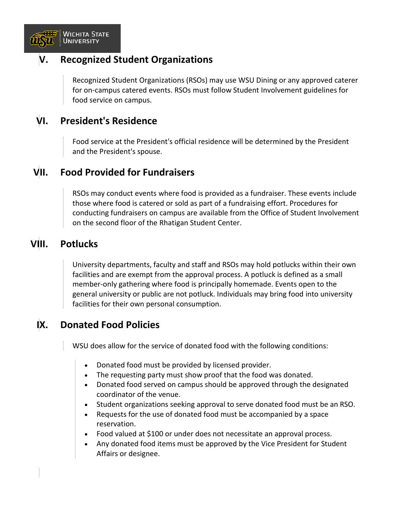

#### **V. Recognized Student Organizations**

Recognized Student Organizations (RSOs) may use WSU Dining or any approved caterer for on-campus catered events. RSOs must follow Student Involvement guidelines for food service on campus.

#### **VI. President's Residence**

Food service at the President's official residence will be determined by the President and the President's spouse.

#### **VII. Food Provided for Fundraisers**

RSOs may conduct events where food is provided as a fundraiser. These events include those where food is catered or sold as part of a fundraising effort. Procedures for conducting fundraisers on campus are available from the Office of Student Involvement on the second floor of the Rhatigan Student Center.

#### **VIII. Potlucks**

University departments, faculty and staff and RSOs may hold potlucks within their own facilities and are exempt from the approval process. A potluck is defined as a small member-only gathering where food is principally homemade. Events open to the general university or public are not potluck. Individuals may bring food into university facilities for their own personal consumption.

## **IX. Donated Food Policies**

WSU does allow for the service of donated food with the following conditions:

- Donated food must be provided by licensed provider.
- The requesting party must show proof that the food was donated.
- Donated food served on campus should be approved through the designated coordinator of the venue.
- Student organizations seeking approval to serve donated food must be an RSO.
- Requests for the use of donated food must be accompanied by a space reservation.
- Food valued at \$100 or under does not necessitate an approval process.
- Any donated food items must be approved by the Vice President for Student Affairs or designee.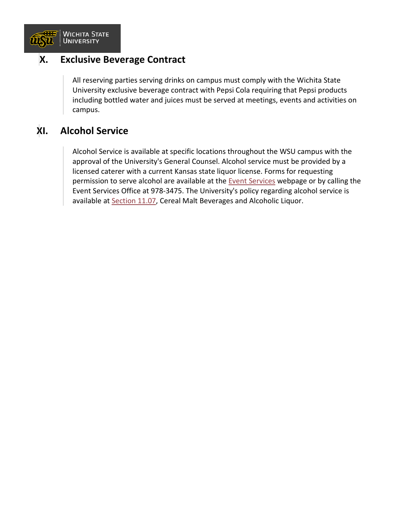

#### **X. Exclusive Beverage Contract**

All reserving parties serving drinks on campus must comply with the Wichita State University exclusive beverage contract with Pepsi Cola requiring that Pepsi products including bottled water and juices must be served at meetings, events and activities on campus.

## **XI. Alcohol Service**

Alcohol Service is available at specific locations throughout the WSU campus with the approval of the University's General Counsel. Alcohol service must be provided by a licensed caterer with a current Kansas state liquor license. Forms for requesting permission to serve alcohol are available at the [Event Services](https://www.wichita.edu/services/rsc/eventservices/) webpage or by calling the Event Services Office at 978-3475. The University's policy regarding alcohol service is available at [Section 11.07,](https://www.wichita.edu/about/policy/ch11/ch11_07.php) Cereal Malt Beverages and Alcoholic Liquor.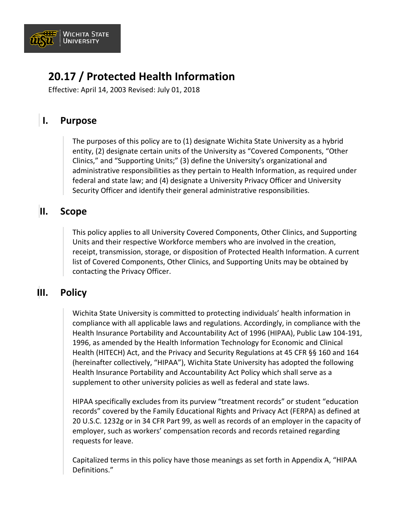

# **20.17 / Protected Health Information**

Effective: April 14, 2003 Revised: July 01, 2018

## **I. Purpose**

The purposes of this policy are to (1) designate Wichita State University as a hybrid entity, (2) designate certain units of the University as "Covered Components, "Other Clinics," and "Supporting Units;" (3) define the University's organizational and administrative responsibilities as they pertain to Health Information, as required under federal and state law; and (4) designate a University Privacy Officer and University Security Officer and identify their general administrative responsibilities.

## **II. Scope**

This policy applies to all University Covered Components, Other Clinics, and Supporting Units and their respective Workforce members who are involved in the creation, receipt, transmission, storage, or disposition of Protected Health Information. A current list of Covered Components, Other Clinics, and Supporting Units may be obtained by contacting the Privacy Officer.

#### **III. Policy**

Wichita State University is committed to protecting individuals' health information in compliance with all applicable laws and regulations. Accordingly, in compliance with the Health Insurance Portability and Accountability Act of 1996 (HIPAA), Public Law 104-191, 1996, as amended by the Health Information Technology for Economic and Clinical Health (HITECH) Act, and the Privacy and Security Regulations at 45 CFR §§ 160 and 164 (hereinafter collectively, "HIPAA"), Wichita State University has adopted the following Health Insurance Portability and Accountability Act Policy which shall serve as a supplement to other university policies as well as federal and state laws.

HIPAA specifically excludes from its purview "treatment records" or student "education records" covered by the Family Educational Rights and Privacy Act (FERPA) as defined at 20 U.S.C. 1232g or in 34 CFR Part 99, as well as records of an employer in the capacity of employer, such as workers' compensation records and records retained regarding requests for leave.

Capitalized terms in this policy have those meanings as set forth in Appendix A, "HIPAA Definitions."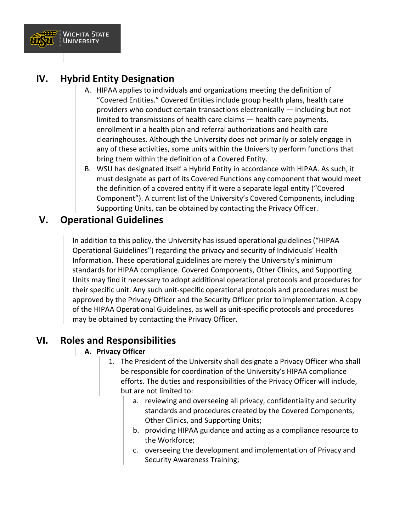

## **IV. Hybrid Entity Designation**

- A. HIPAA applies to individuals and organizations meeting the definition of "Covered Entities." Covered Entities include group health plans, health care providers who conduct certain transactions electronically — including but not limited to transmissions of health care claims — health care payments, enrollment in a health plan and referral authorizations and health care clearinghouses. Although the University does not primarily or solely engage in any of these activities, some units within the University perform functions that bring them within the definition of a Covered Entity.
- B. WSU has designated itself a Hybrid Entity in accordance with HIPAA. As such, it must designate as part of its Covered Functions any component that would meet the definition of a covered entity if it were a separate legal entity ("Covered Component"). A current list of the University's Covered Components, including Supporting Units, can be obtained by contacting the Privacy Officer.

## **V. Operational Guidelines**

In addition to this policy, the University has issued operational guidelines ("HIPAA Operational Guidelines") regarding the privacy and security of Individuals' Health Information. These operational guidelines are merely the University's minimum standards for HIPAA compliance. Covered Components, Other Clinics, and Supporting Units may find it necessary to adopt additional operational protocols and procedures for their specific unit. Any such unit-specific operational protocols and procedures must be approved by the Privacy Officer and the Security Officer prior to implementation. A copy of the HIPAA Operational Guidelines, as well as unit-specific protocols and procedures may be obtained by contacting the Privacy Officer.

## **VI. Roles and Responsibilities**

#### **A. Privacy Officer**

- 1. The President of the University shall designate a Privacy Officer who shall be responsible for coordination of the University's HIPAA compliance efforts. The duties and responsibilities of the Privacy Officer will include, but are not limited to:
	- a. reviewing and overseeing all privacy, confidentiality and security standards and procedures created by the Covered Components, Other Clinics, and Supporting Units;
	- b. providing HIPAA guidance and acting as a compliance resource to the Workforce;
	- c. overseeing the development and implementation of Privacy and Security Awareness Training;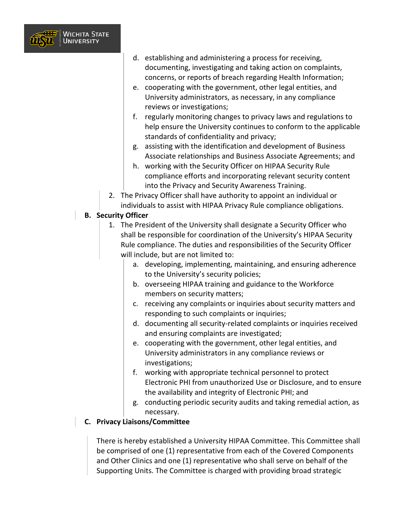

- d. establishing and administering a process for receiving, documenting, investigating and taking action on complaints, concerns, or reports of breach regarding Health Information;
- e. cooperating with the government, other legal entities, and University administrators, as necessary, in any compliance reviews or investigations;
- f. regularly monitoring changes to privacy laws and regulations to help ensure the University continues to conform to the applicable standards of confidentiality and privacy;
- g. assisting with the identification and development of Business Associate relationships and Business Associate Agreements; and
- h. working with the Security Officer on HIPAA Security Rule compliance efforts and incorporating relevant security content into the Privacy and Security Awareness Training.
- 2. The Privacy Officer shall have authority to appoint an individual or individuals to assist with HIPAA Privacy Rule compliance obligations.

#### **B. Security Officer**

- 1. The President of the University shall designate a Security Officer who shall be responsible for coordination of the University's HIPAA Security Rule compliance. The duties and responsibilities of the Security Officer will include, but are not limited to:
	- a. developing, implementing, maintaining, and ensuring adherence to the University's security policies;
	- b. overseeing HIPAA training and guidance to the Workforce members on security matters;
	- c. receiving any complaints or inquiries about security matters and responding to such complaints or inquiries;
	- d. documenting all security-related complaints or inquiries received and ensuring complaints are investigated;
	- e. cooperating with the government, other legal entities, and University administrators in any compliance reviews or investigations;
	- f. working with appropriate technical personnel to protect Electronic PHI from unauthorized Use or Disclosure, and to ensure the availability and integrity of Electronic PHI; and
	- g. conducting periodic security audits and taking remedial action, as necessary.
- **C. Privacy Liaisons/Committee**

There is hereby established a University HIPAA Committee. This Committee shall be comprised of one (1) representative from each of the Covered Components and Other Clinics and one (1) representative who shall serve on behalf of the Supporting Units. The Committee is charged with providing broad strategic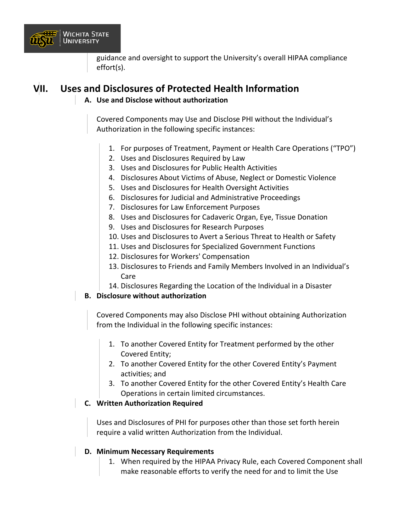

guidance and oversight to support the University's overall HIPAA compliance effort(s).

#### **VII. Uses and Disclosures of Protected Health Information**

#### **A. Use and Disclose without authorization**

Covered Components may Use and Disclose PHI without the Individual's Authorization in the following specific instances:

- 1. For purposes of Treatment, Payment or Health Care Operations ("TPO")
- 2. Uses and Disclosures Required by Law
- 3. Uses and Disclosures for Public Health Activities
- 4. Disclosures About Victims of Abuse, Neglect or Domestic Violence
- 5. Uses and Disclosures for Health Oversight Activities
- 6. Disclosures for Judicial and Administrative Proceedings
- 7. Disclosures for Law Enforcement Purposes
- 8. Uses and Disclosures for Cadaveric Organ, Eye, Tissue Donation
- 9. Uses and Disclosures for Research Purposes
- 10. Uses and Disclosures to Avert a Serious Threat to Health or Safety
- 11. Uses and Disclosures for Specialized Government Functions
- 12. Disclosures for Workers' Compensation
- 13. Disclosures to Friends and Family Members Involved in an Individual's Care
- 14. Disclosures Regarding the Location of the Individual in a Disaster

#### **B. Disclosure without authorization**

Covered Components may also Disclose PHI without obtaining Authorization from the Individual in the following specific instances:

- 1. To another Covered Entity for Treatment performed by the other Covered Entity;
- 2. To another Covered Entity for the other Covered Entity's Payment activities; and
- 3. To another Covered Entity for the other Covered Entity's Health Care Operations in certain limited circumstances.

#### **C. Written Authorization Required**

Uses and Disclosures of PHI for purposes other than those set forth herein require a valid written Authorization from the Individual.

#### **D. Minimum Necessary Requirements**

1. When required by the HIPAA Privacy Rule, each Covered Component shall make reasonable efforts to verify the need for and to limit the Use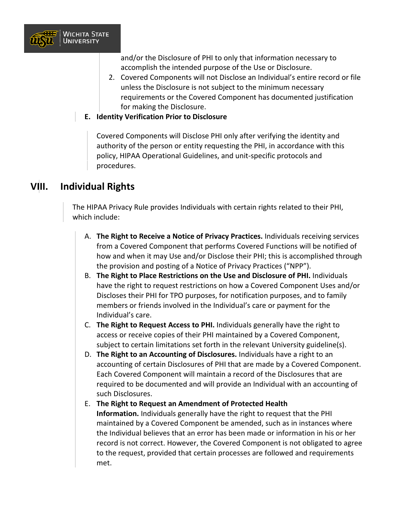

and/or the Disclosure of PHI to only that information necessary to accomplish the intended purpose of the Use or Disclosure.

- 2. Covered Components will not Disclose an Individual's entire record or file unless the Disclosure is not subject to the minimum necessary requirements or the Covered Component has documented justification for making the Disclosure.
- **E. Identity Verification Prior to Disclosure**

Covered Components will Disclose PHI only after verifying the identity and authority of the person or entity requesting the PHI, in accordance with this policy, HIPAA Operational Guidelines, and unit-specific protocols and procedures.

#### **VIII. Individual Rights**

The HIPAA Privacy Rule provides Individuals with certain rights related to their PHI, which include:

- A. **The Right to Receive a Notice of Privacy Practices.** Individuals receiving services from a Covered Component that performs Covered Functions will be notified of how and when it may Use and/or Disclose their PHI; this is accomplished through the provision and posting of a Notice of Privacy Practices ("NPP").
- B. **The Right to Place Restrictions on the Use and Disclosure of PHI.** Individuals have the right to request restrictions on how a Covered Component Uses and/or Discloses their PHI for TPO purposes, for notification purposes, and to family members or friends involved in the Individual's care or payment for the Individual's care.
- C. **The Right to Request Access to PHI.** Individuals generally have the right to access or receive copies of their PHI maintained by a Covered Component, subject to certain limitations set forth in the relevant University guideline(s).
- D. **The Right to an Accounting of Disclosures.** Individuals have a right to an accounting of certain Disclosures of PHI that are made by a Covered Component. Each Covered Component will maintain a record of the Disclosures that are required to be documented and will provide an Individual with an accounting of such Disclosures.
- E. **The Right to Request an Amendment of Protected Health Information.** Individuals generally have the right to request that the PHI maintained by a Covered Component be amended, such as in instances where the Individual believes that an error has been made or information in his or her record is not correct. However, the Covered Component is not obligated to agree to the request, provided that certain processes are followed and requirements met.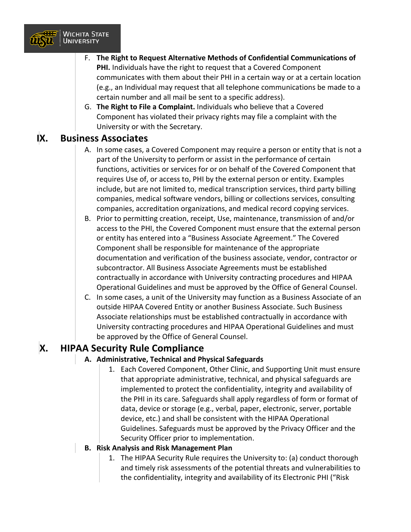

- F. **The Right to Request Alternative Methods of Confidential Communications of PHI.** Individuals have the right to request that a Covered Component communicates with them about their PHI in a certain way or at a certain location (e.g., an Individual may request that all telephone communications be made to a certain number and all mail be sent to a specific address).
- G. **The Right to File a Complaint.** Individuals who believe that a Covered Component has violated their privacy rights may file a complaint with the University or with the Secretary.

#### **IX. Business Associates**

- A. In some cases, a Covered Component may require a person or entity that is not a part of the University to perform or assist in the performance of certain functions, activities or services for or on behalf of the Covered Component that requires Use of, or access to, PHI by the external person or entity. Examples include, but are not limited to, medical transcription services, third party billing companies, medical software vendors, billing or collections services, consulting companies, accreditation organizations, and medical record copying services.
- B. Prior to permitting creation, receipt, Use, maintenance, transmission of and/or access to the PHI, the Covered Component must ensure that the external person or entity has entered into a "Business Associate Agreement." The Covered Component shall be responsible for maintenance of the appropriate documentation and verification of the business associate, vendor, contractor or subcontractor. All Business Associate Agreements must be established contractually in accordance with University contracting procedures and HIPAA Operational Guidelines and must be approved by the Office of General Counsel.
- C. In some cases, a unit of the University may function as a Business Associate of an outside HIPAA Covered Entity or another Business Associate. Such Business Associate relationships must be established contractually in accordance with University contracting procedures and HIPAA Operational Guidelines and must be approved by the Office of General Counsel.

## **X. HIPAA Security Rule Compliance**

#### **A. Administrative, Technical and Physical Safeguards**

1. Each Covered Component, Other Clinic, and Supporting Unit must ensure that appropriate administrative, technical, and physical safeguards are implemented to protect the confidentiality, integrity and availability of the PHI in its care. Safeguards shall apply regardless of form or format of data, device or storage (e.g., verbal, paper, electronic, server, portable device, etc.) and shall be consistent with the HIPAA Operational Guidelines. Safeguards must be approved by the Privacy Officer and the Security Officer prior to implementation.

#### **B. Risk Analysis and Risk Management Plan**

1. The HIPAA Security Rule requires the University to: (a) conduct thorough and timely risk assessments of the potential threats and vulnerabilities to the confidentiality, integrity and availability of its Electronic PHI ("Risk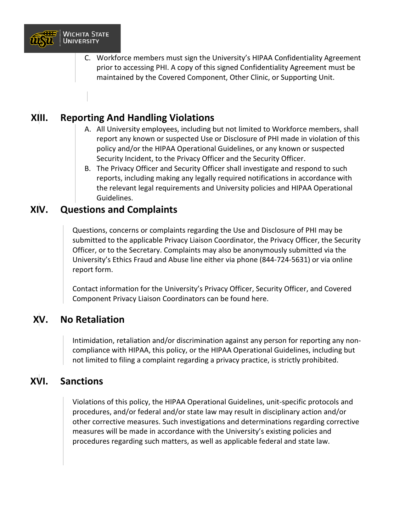

# 20.16 / Food and Beverage Policies

Effective August 08, 2017 Revised November 12, 2018

#### $\mathsf{I}$ . Purpose

The purpose of this policy is to clarify expectations regarding the sale and distribution of food on campus and to communicate requirements for Wichita State University, the Rhatigan Student Center, and nonWSU affiliated food providers and ensure proper food handling to avoid the risk of foodborne illness. This includes any private, public or formal events that require food or alcohol service.

#### $\parallel$ II. **WSU Dining**

WSU Dining is a key provider of dining service requests for the Wichita State University and the Rhatigan Student Center with some exceptions. WSU Dining (Chartwells) is the recommended caterer for all on campus events. WSU Dining is not the exclusive provider of food on campus with the exception of Shocker Hall. Requests for catering by WSU Dining may be made by contacting the Dining Services Office.

#### III. **Catering Locations**

With some qualifications, WSU maintains an open catering policy throughout the campus. A reserving party may choose catering from WSU Diningr a list of Approved Caterers. Catering in Shocker Hall is restricted to WSU Dining.

#### IV. **Approved Caterers**

In addition to food services provided by WSU Dining Services, a reserving party may choose a caterer of their choice from a list of approved preferred caterers. Catered events with food service costs of less than 100 are exempt from the required approval process.

Applications for the Approved Caterers list as well as a complete list of approad vendors is available at the Event Services webpæe.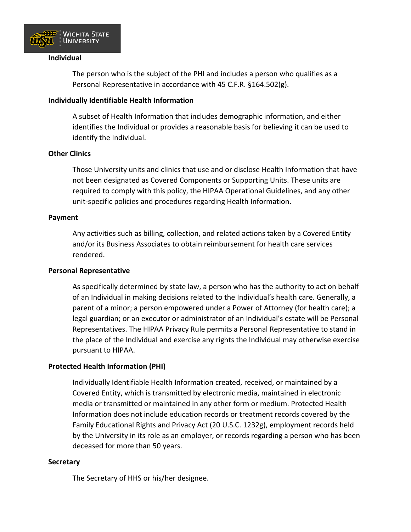

- XThe University's named streets and issued adresses for buildings are for emergency service purposes only, not for mail delivery.
- & Xt is a violation of state law for any person to use, or to permit any unauthorized person to use, any form of postagepaid for with statefunds for such person's personal use. See K.S.A. 21-6006, as amended.

#### IV. Implementation

The Vice President for Finance and Administration shall have primary responsibility for the publication and distribution of this University policy.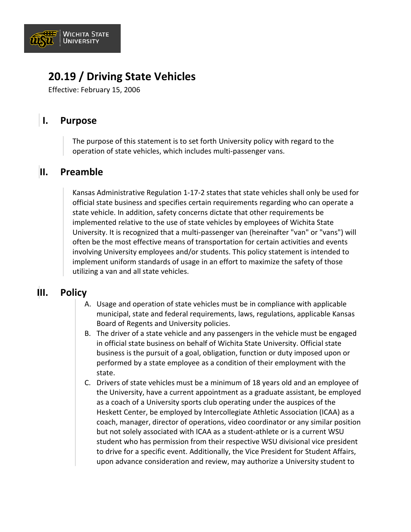

- 2. The University will be given an opportunity to review and approve the intended usage.
- 3. The period of usage will be welldefined and limited continued usage will be subect to further University review and approval.
- 4. The University's name, logos or marks may not be displayed more prominently or any larger than other corporate marks or logos.
- 5. Any display of the University's name, logos or marks shall be accompanied by the following text

T he University's name, logo or mark are used with the permission of Wichita State University. Usage reflects a prior or current business relationship and does not constitute an endorsement or recommendation.

- F. Subect to the above limited circumstances, use of the University's name, seal, logos and/or marks is specifically prohibited provided, however, that the University does not intend or understand this policy to prohibit usage of the University's name in connection with news items or stories, in connectin with events or activities where the University is a recognized sponsor, or pursuant to a specific contractual agreement.
- IV. Implementation

This policy shall be included in theWSU Policies and Procedures Maramal shared with appropriate constituences of the University.

The General Counsel shall have primary responsibility for publication, dissemination and implementation of this University policy.

(Regarding Useof University Namese also Commitment of Time, Conflict of Interest, Consulting, and Other Employment at Section 3.04 of this manual.)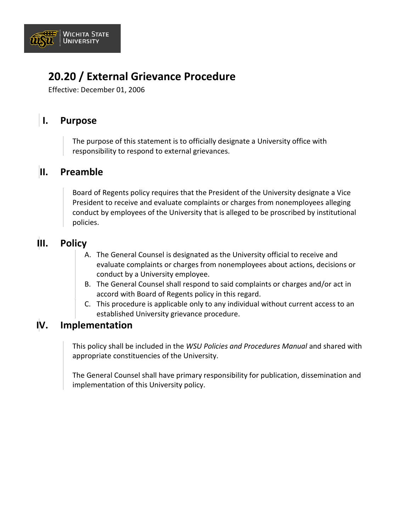

# 20.08 / Workforce, Professional & Community Education

Effective: March 25, 2016

#### $\mathbf{I}$ . **Purpose**

To ensure the most cost-effective use of University resources and staff time, and to ensure University activities appropriately and consistently reflect the University's mission.

#### II. **Policy**

Programs being done in the name of the University, at which external audiences (nondegree seeking) are expected, and either 1) a program registration fee is charged or underwritten (e.g. grants, sponsorships, research funds), or 2) continuing education units (CEUs, contact hours, or other profession-specific credits) or academic credits are offered, must be coordinated through the Office for Workforce, Professional & Community Education (WPCE), and that office will be partially funded through coordination fees charged to program sponsors.

## /// Xmplementation

- XCampus units submit a planning and approval form to WPCE as soon as a decision is made to offer a program (conferences, courses, workshops, institutes, symposiums, seminars, etc.) using the University's name (click here for web page with planning and approval form and instructions).
- XUpon receipt of the planning and approval form, the Assistant Director of WPCE will review the form to determine if the activity falls within the scope of WPCE or if an exemption should be issued.
- XWhen a program falls within the scope of WPCE, WPCE will meet with the requesting unit to determine the following: budget, marketing plan and publicity, timeline, and WPCE fee based on the total number of staff hours required to produce the event.

## S XExemptions

In the event a campus unit does not agree with the determination of the Assistant Director of WPCE, the unit may submit its exemption request to the Director of WPCE who will review the request with the Associate Vice President for Academic Affairs. Alternatively, the divisional vice president may grant an exemption.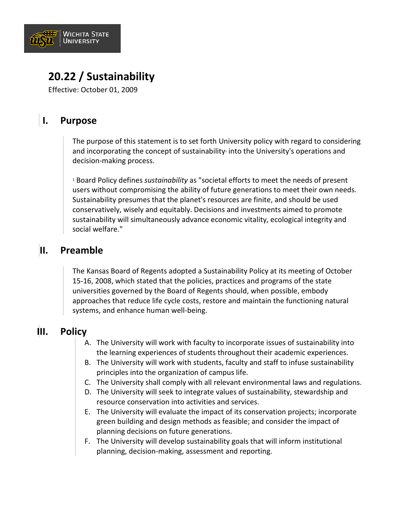

seek to make University staff available while counseling support is pending.

- 5. The Executive Policy and Decision Team will remain active and operational until the crisis situation is declared to be ended by the President of the University, or the President's designee.
- D. Post-Crisis Activities
	- 1. The Executive Policy and Decision Team shall conduct debriefing activities to evaluate the handling of any crisis and the effectiveness of the response thereto.
	- 2. The Executive Policy and Decision Team shall update, revise and amed this policy statement and accompanying procedures to respond to needs identified by the University's response to and handling of any particular crisis.
	- 3. The Executive Policy and Decision Team shall develop a plan to provide a family resource and victim support center in the aftermath of a crisis situation.
- E. Implementation

This policy shall be included in theWSU Policies and Procedures Manual and shall be shared with all appropriate constituencies of the University.

The General Counsel shall have primary reponsibility for publication and distribution of this University policy.

(See also Emergency Responseand Evacuation at Section 20.21 of this manual.)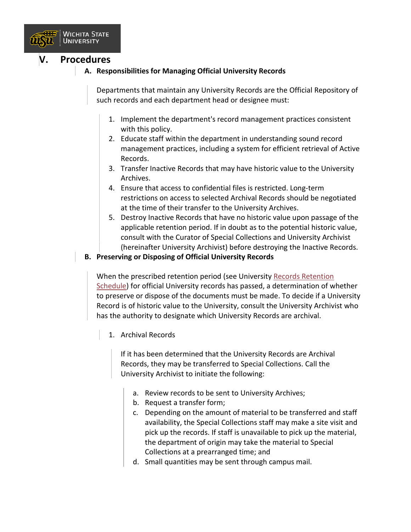

#### **V. Procedures**

#### **A. Responsibilities for Managing Official University Records**

Departments that maintain any University Records are the Official Repository of such records and each department head or designee must:

- 1. Implement the department's record management practices consistent with this policy.
- 2. Educate staff within the department in understanding sound record management practices, including a system for efficient retrieval of Active Records.
- 3. Transfer Inactive Records that may have historic value to the University Archives.
- 4. Ensure that access to confidential files is restricted. Long-term restrictions on access to selected Archival Records should be negotiated at the time of their transfer to the University Archives.
- 5. Destroy Inactive Records that have no historic value upon passage of the applicable retention period. If in doubt as to the potential historic value, consult with the Curator of Special Collections and University Archivist (hereinafter University Archivist) before destroying the Inactive Records.

#### **B. Preserving or Disposing of Official University Records**

When the prescribed retention period (see University [Records Retention](https://www.wichita.edu/about/policy/records_retention_schedule.php) [Schedule\)](https://www.wichita.edu/about/policy/records_retention_schedule.php) for official University records has passed, a determination of whether to preserve or dispose of the documents must be made. To decide if a University Record is of historic value to the University, consult the University Archivist who has the authority to designate which University Records are archival.

1. Archival Records

If it has been determined that the University Records are Archival Records, they may be transferred to Special Collections. Call the University Archivist to initiate the following:

- a. Review records to be sent to University Archives;
- b. Request a transfer form;
- c. Depending on the amount of material to be transferred and staff availability, the Special Collections staff may make a site visit and pick up the records. If staff is unavailable to pick up the material, the department of origin may take the material to Special Collections at a prearranged time; and
- d. Small quantities may be sent through campus mail.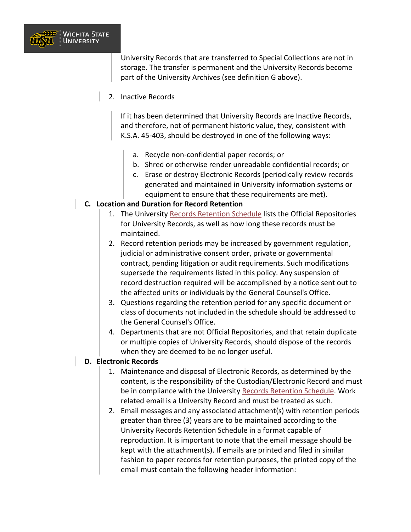

University Records that are transferred to Special Collections are not in storage. The transfer is permanent and the University Records become part of the University Archives (see definition G above).

2. Inactive Records

If it has been determined that University Records are Inactive Records, and therefore, not of permanent historic value, they, consistent with K.S.A. 45-403, should be destroyed in one of the following ways:

- a. Recycle non-confidential paper records; or
- b. Shred or otherwise render unreadable confidential records; or
- c. Erase or destroy Electronic Records (periodically review records generated and maintained in University information systems or equipment to ensure that these requirements are met).

#### **C. Location and Duration for Record Retention**

- 1. The University Records [Retention Schedule](https://www.wichita.edu/about/policy/records_retention_schedule.php) lists the Official Repositories for University Records, as well as how long these records must be maintained.
- 2. Record retention periods may be increased by government regulation, judicial or administrative consent order, private or governmental contract, pending litigation or audit requirements. Such modifications supersede the requirements listed in this policy. Any suspension of record destruction required will be accomplished by a notice sent out to the affected units or individuals by the General Counsel's Office.
- 3. Questions regarding the retention period for any specific document or class of documents not included in the schedule should be addressed to the General Counsel's Office.
- 4. Departments that are not Official Repositories, and that retain duplicate or multiple copies of University Records, should dispose of the records when they are deemed to be no longer useful.

#### **CI. Electronic Records**

- 1. Maintenance and disposal of Electronic Records, as determined by the content, is the responsibility of the Custodian/Electronic Record and must be in compliance with the University [Records Retention Sch](https://www.wichita.edu/about/policy/records_retention_schedule.php)edule. Work related email is a University Record and must be treated as such.
- 2. Email messages and any associated attachment(s) with retention periods greater than three (3) years are to be maintained according to the University Records Retention Schedule in a format capable of reproduction. It is important to note that the email message should be kept with the attachment(s). If emails are printed and filed in similar fashion to paper records for retention purposes, the printed copy of the email must contain the following header information: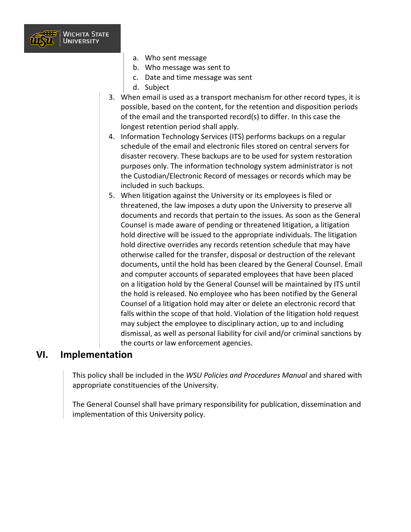

- a. Who sent message
- b. Who message was sent to
- c. Date and time message was sent
- d. Subject
- 3. When email is used as a transport mechanism for other record types, it is possible, based on the content, for the retention and disposition periods of the email and the transported record(s) to differ. In this case the longest retention period shall apply.
- 4. Information Technology Services (ITS) performs backups on a regular schedule of the email and electronic files stored on central servers for disaster recovery. These backups are to be used for system restoration purposes only. The information technology system administrator is not the Custodian/Electronic Record of messages or records which may be included in such backups.
- 5. When litigation against the University or its employees is filed or threatened, the law imposes a duty upon the University to preserve all documents and records that pertain to the issues. As soon as the General Counsel is made aware of pending or threatened litigation, a litigation hold directive will be issued to the appropriate individuals. The litigation hold directive overrides any records retention schedule that may have otherwise called for the transfer, disposal or destruction of the relevant documents, until the hold has been cleared by the General Counsel. Email and computer accounts of separated employees that have been placed on a litigation hold by the General Counsel will be maintained by ITS until the hold is released. No employee who has been notified by the General Counsel of a litigation hold may alter or delete an electronic record that falls within the scope of that hold. Violation of the litigation hold request may subject the employee to disciplinary action, up to and including dismissal, as well as personal liability for civil and/or criminal sanctions by the courts or law enforcement agencies.

#### **VI. Implementation**

This policy shall be included in the *WSU Policies and Procedures Manual* and shared with appropriate constituencies of the University.

The General Counsel shall have primary responsibility for publication, dissemination and implementation of this University policy.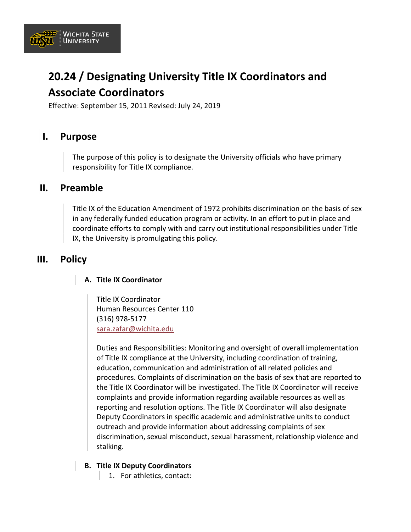

# **20.24 / Designating University Title IX Coordinators and Associate Coordinators**

Effective: September 15, 2011 Revised: July 24, 2019

## **I. Purpose**

The purpose of this policy is to designate the University officials who have primary responsibility for Title IX compliance.

#### **II. Preamble**

Title IX of the Education Amendment of 1972 prohibits discrimination on the basis of sex in any federally funded education program or activity. In an effort to put in place and coordinate efforts to comply with and carry out institutional responsibilities under Title IX, the University is promulgating this policy.

## **III. Policy**

#### **A. Title IX Coordinator**

Title IX Coordinator

Human Resources Center 110 (316) 978-5177 [sara.zafar@wichita.edu](mailto:sara.zafar@wichita.edu)

Duties and Responsibilities: Monitoring and oversight of overall implementation of Title IX compliance at the University, including coordination of training, education, communication and administration of all related policies and procedures. Complaints of discrimination on the basis of sex that are reported to the Title IX Coordinator will be investigated. The Title IX Coordinator will receive complaints and provide information regarding available resources as well as reporting and resolution options. The Title IX Coordinator will also designate Deputy Coordinators in specific academic and administrative units to conduct outreach and provide information about addressing complaints of sex discrimination, sexual misconduct, sexual harassment, relationship violence and stalking.

#### **B. Title IX Deputy Coordinators**

1. For athletics, contact: